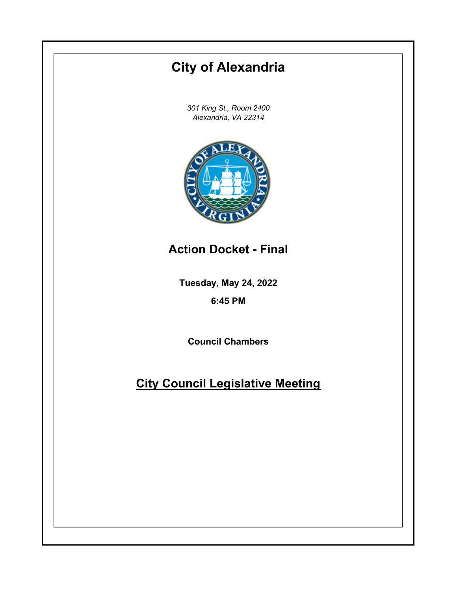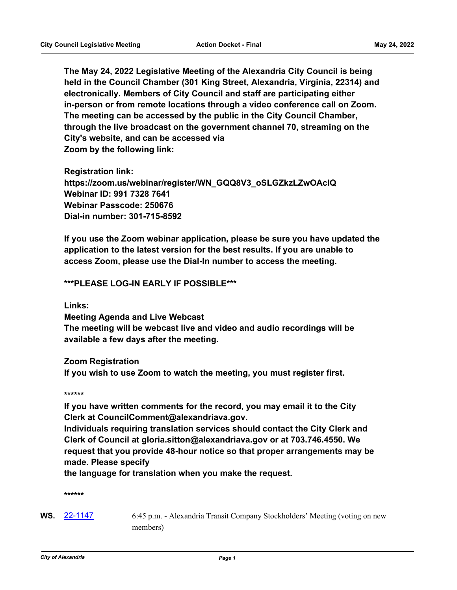**The May 24, 2022 Legislative Meeting of the Alexandria City Council is being held in the Council Chamber (301 King Street, Alexandria, Virginia, 22314) and electronically. Members of City Council and staff are participating either in-person or from remote locations through a video conference call on Zoom. The meeting can be accessed by the public in the City Council Chamber, through the live broadcast on the government channel 70, streaming on the City's website, and can be accessed via Zoom by the following link:**

**Registration link: https://zoom.us/webinar/register/WN\_GQQ8V3\_oSLGZkzLZwOAcIQ Webinar ID: 991 7328 7641 Webinar Passcode: 250676 Dial-in number: 301-715-8592**

**If you use the Zoom webinar application, please be sure you have updated the application to the latest version for the best results. If you are unable to access Zoom, please use the Dial-In number to access the meeting.**

#### **\*\*\*PLEASE LOG-IN EARLY IF POSSIBLE\*\*\***

**Links:**

**Meeting Agenda and Live Webcast The meeting will be webcast live and video and audio recordings will be available a few days after the meeting.**

**Zoom Registration If you wish to use Zoom to watch the meeting, you must register first.**

**\*\*\*\*\*\***

**If you have written comments for the record, you may email it to the City Clerk at CouncilComment@alexandriava.gov.**

**Individuals requiring translation services should contact the City Clerk and Clerk of Council at gloria.sitton@alexandriava.gov or at 703.746.4550. We request that you provide 48-hour notice so that proper arrangements may be made. Please specify**

**the language for translation when you make the request.**

**\*\*\*\*\*\***

WS. [22-1147](http://alexandria.legistar.com/gateway.aspx?m=l&id=/matter.aspx?key=14745) 6:45 p.m. - Alexandria Transit Company Stockholders' Meeting (voting on new members)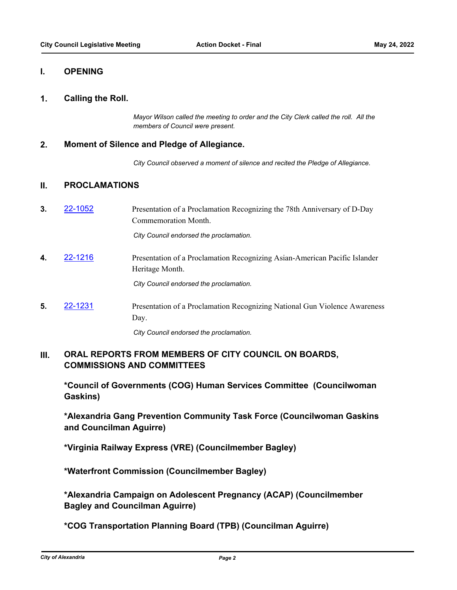### **I. OPENING**

#### **1. Calling the Roll.**

*Mayor Wilson called the meeting to order and the City Clerk called the roll. All the members of Council were present.*

#### **2. Moment of Silence and Pledge of Allegiance.**

*City Council observed a moment of silence and recited the Pledge of Allegiance.*

## **II. PROCLAMATIONS**

**3.** [22-1052](http://alexandria.legistar.com/gateway.aspx?m=l&id=/matter.aspx?key=14651) Presentation of a Proclamation Recognizing the 78th Anniversary of D-Day Commemoration Month.

*City Council endorsed the proclamation.*

**4.** [22-1216](http://alexandria.legistar.com/gateway.aspx?m=l&id=/matter.aspx?key=14814) Presentation of a Proclamation Recognizing Asian-American Pacific Islander Heritage Month.

*City Council endorsed the proclamation.*

**5.** [22-1231](http://alexandria.legistar.com/gateway.aspx?m=l&id=/matter.aspx?key=14829) Presentation of a Proclamation Recognizing National Gun Violence Awareness Day.

*City Council endorsed the proclamation.*

#### **ORAL REPORTS FROM MEMBERS OF CITY COUNCIL ON BOARDS, COMMISSIONS AND COMMITTEES III.**

**\*Council of Governments (COG) Human Services Committee (Councilwoman Gaskins)**

**\*Alexandria Gang Prevention Community Task Force (Councilwoman Gaskins and Councilman Aguirre)**

**\*Virginia Railway Express (VRE) (Councilmember Bagley)**

**\*Waterfront Commission (Councilmember Bagley)**

**\*Alexandria Campaign on Adolescent Pregnancy (ACAP) (Councilmember Bagley and Councilman Aguirre)**

**\*COG Transportation Planning Board (TPB) (Councilman Aguirre)**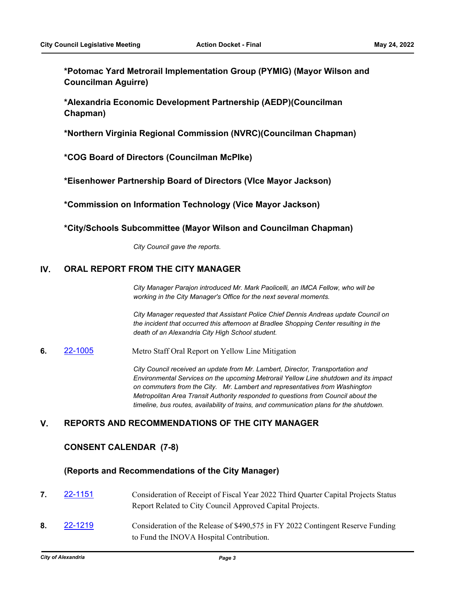**\*Potomac Yard Metrorail Implementation Group (PYMIG) (Mayor Wilson and Councilman Aguirre)**

**\*Alexandria Economic Development Partnership (AEDP)(Councilman Chapman)**

**\*Northern Virginia Regional Commission (NVRC)(Councilman Chapman)**

**\*COG Board of Directors (Councilman McPIke)**

**\*Eisenhower Partnership Board of Directors (VIce Mayor Jackson)**

**\*Commission on Information Technology (Vice Mayor Jackson)**

**\*City/Schools Subcommittee (Mayor Wilson and Councilman Chapman)**

*City Council gave the reports.*

## **IV. ORAL REPORT FROM THE CITY MANAGER**

*City Manager Parajon introduced Mr. Mark Paolicelli, an IMCA Fellow, who will be working in the City Manager's Office for the next several moments.*

*City Manager requested that Assistant Police Chief Dennis Andreas update Council on the incident that occurred this afternoon at Bradlee Shopping Center resulting in the death of an Alexandria City High School student.*

**6.** [22-1005](http://alexandria.legistar.com/gateway.aspx?m=l&id=/matter.aspx?key=14604) Metro Staff Oral Report on Yellow Line Mitigation

*City Council received an update from Mr. Lambert, Director, Transportation and Environmental Services on the upcoming Metrorail Yellow Line shutdown and its impact on commuters from the City. Mr. Lambert and representatives from Washington Metropolitan Area Transit Authority responded to questions from Council about the timeline, bus routes, availability of trains, and communication plans for the shutdown.*

# **V. REPORTS AND RECOMMENDATIONS OF THE CITY MANAGER**

# **CONSENT CALENDAR (7-8)**

## **(Reports and Recommendations of the City Manager)**

- **7.** [22-1151](http://alexandria.legistar.com/gateway.aspx?m=l&id=/matter.aspx?key=14749) Consideration of Receipt of Fiscal Year 2022 Third Quarter Capital Projects Status Report Related to City Council Approved Capital Projects.
- **8.** [22-1219](http://alexandria.legistar.com/gateway.aspx?m=l&id=/matter.aspx?key=14817) Consideration of the Release of \$490,575 in FY 2022 Contingent Reserve Funding to Fund the INOVA Hospital Contribution.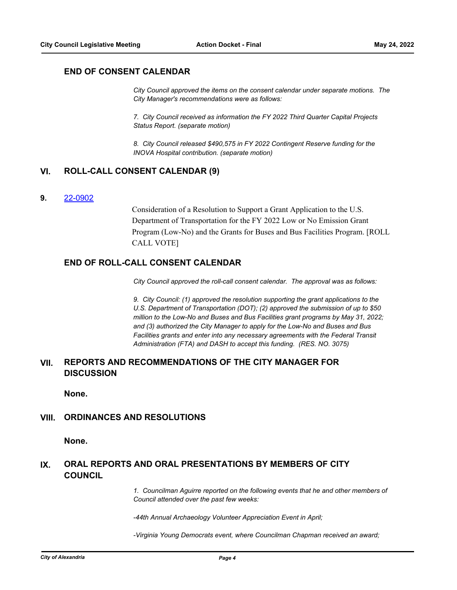## **END OF CONSENT CALENDAR**

*City Council approved the items on the consent calendar under separate motions. The City Manager's recommendations were as follows:* 

*7. City Council received as information the FY 2022 Third Quarter Capital Projects Status Report. (separate motion)*

*8. City Council released \$490,575 in FY 2022 Contingent Reserve funding for the INOVA Hospital contribution. (separate motion)*

## **VI. ROLL-CALL CONSENT CALENDAR (9)**

#### **9.** [22-0902](http://alexandria.legistar.com/gateway.aspx?m=l&id=/matter.aspx?key=14501)

Consideration of a Resolution to Support a Grant Application to the U.S. Department of Transportation for the FY 2022 Low or No Emission Grant Program (Low-No) and the Grants for Buses and Bus Facilities Program. [ROLL CALL VOTE]

# **END OF ROLL-CALL CONSENT CALENDAR**

*City Council approved the roll-call consent calendar. The approval was as follows:* 

*9. City Council: (1) approved the resolution supporting the grant applications to the U.S. Department of Transportation (DOT); (2) approved the submission of up to \$50 million to the Low-No and Buses and Bus Facilities grant programs by May 31, 2022; and (3) authorized the City Manager to apply for the Low-No and Buses and Bus Facilities grants and enter into any necessary agreements with the Federal Transit Administration (FTA) and DASH to accept this funding. (RES. NO. 3075)*

#### **REPORTS AND RECOMMENDATIONS OF THE CITY MANAGER FOR DISCUSSION VII.**

**None.**

#### **VIII. ORDINANCES AND RESOLUTIONS**

**None.**

#### **ORAL REPORTS AND ORAL PRESENTATIONS BY MEMBERS OF CITY COUNCIL IX.**

*1. Councilman Aguirre reported on the following events that he and other members of Council attended over the past few weeks:*

*-44th Annual Archaeology Volunteer Appreciation Event in April;* 

*-Virginia Young Democrats event, where Councilman Chapman received an award;*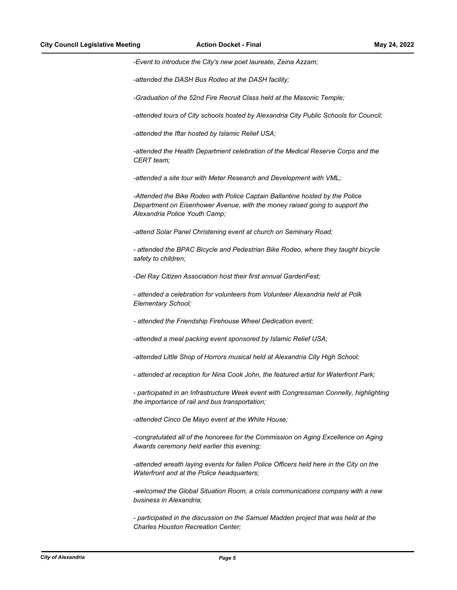*-Event to introduce the City's new poet laureate, Zeina Azzam;*

*-attended the DASH Bus Rodeo at the DASH facility;*

*-Graduation of the 52nd Fire Recruit Class held at the Masonic Temple;*

*-attended tours of City schools hosted by Alexandria City Public Schools for Council;*

*-attended the Iftar hosted by Islamic Relief USA;* 

*-attended the Health Department celebration of the Medical Reserve Corps and the CERT team;* 

*-attended a site tour with Meter Research and Development with VML;*

*-Attended the Bike Rodeo with Police Captain Ballantine hosted by the Police Department on Eisenhower Avenue, with the money raised going to support the Alexandria Police Youth Camp;* 

*-attend Solar Panel Christening event at church on Seminary Road;*

*- attended the BPAC Bicycle and Pedestrian Bike Rodeo, where they taught bicycle safety to children;*

*-Del Ray Citizen Association host their first annual GardenFest;*

*- attended a celebration for volunteers from Volunteer Alexandria held at Polk Elementary School;*

*- attended the Friendship Firehouse Wheel Dedication event;*

*-attended a meal packing event sponsored by Islamic Relief USA;*

*-attended Little Shop of Horrors musical held at Alexandria City High School;*

*- attended at reception for Nina Cook John, the featured artist for Waterfront Park;* 

*- participated in an Infrastructure Week event with Congressman Connelly, highlighting the importance of rail and bus transportation;* 

*-attended Cinco De Mayo event at the White House;*

*-congratulated all of the honorees for the Commission on Aging Excellence on Aging Awards ceremony held earlier this evening;*

-attended wreath laying events for fallen Police Officers held here in the City on the *Waterfront and at the Police headquarters;*

*-welcomed the Global Situation Room, a crisis communications company with a new business in Alexandria;*

*- participated in the discussion on the Samuel Madden project that was held at the Charles Houston Recreation Center;*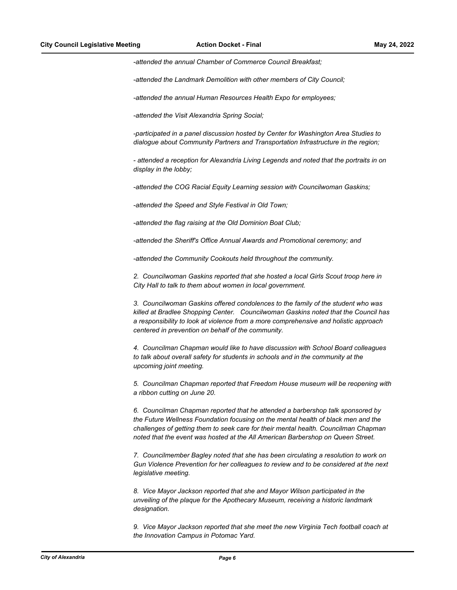*-attended the annual Chamber of Commerce Council Breakfast;*

*-attended the Landmark Demolition with other members of City Council;* 

*-attended the annual Human Resources Health Expo for employees;*

*-attended the Visit Alexandria Spring Social;*

*-participated in a panel discussion hosted by Center for Washington Area Studies to dialogue about Community Partners and Transportation Infrastructure in the region;* 

*- attended a reception for Alexandria Living Legends and noted that the portraits in on display in the lobby;* 

*-attended the COG Racial Equity Learning session with Councilwoman Gaskins;*

*-attended the Speed and Style Festival in Old Town;* 

*-attended the flag raising at the Old Dominion Boat Club;* 

*-attended the Sheriff's Office Annual Awards and Promotional ceremony; and*

*-attended the Community Cookouts held throughout the community.*

*2. Councilwoman Gaskins reported that she hosted a local Girls Scout troop here in City Hall to talk to them about women in local government.*

*3. Councilwoman Gaskins offered condolences to the family of the student who was killed at Bradlee Shopping Center. Councilwoman Gaskins noted that the Council has a responsibility to look at violence from a more comprehensive and holistic approach centered in prevention on behalf of the community.*

*4. Councilman Chapman would like to have discussion with School Board colleagues to talk about overall safety for students in schools and in the community at the upcoming joint meeting.*

*5. Councilman Chapman reported that Freedom House museum will be reopening with a ribbon cutting on June 20.* 

*6. Councilman Chapman reported that he attended a barbershop talk sponsored by the Future Wellness Foundation focusing on the mental health of black men and the challenges of getting them to seek care for their mental health. Councilman Chapman noted that the event was hosted at the All American Barbershop on Queen Street.*

*7. Councilmember Bagley noted that she has been circulating a resolution to work on Gun Violence Prevention for her colleagues to review and to be considered at the next legislative meeting.*

*8. Vice Mayor Jackson reported that she and Mayor Wilson participated in the unveiling of the plaque for the Apothecary Museum, receiving a historic landmark designation.*

*9. Vice Mayor Jackson reported that she meet the new Virginia Tech football coach at the Innovation Campus in Potomac Yard.*